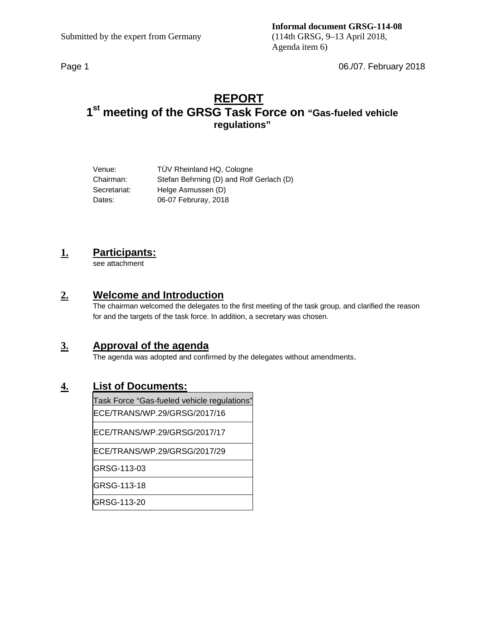Page 1 06./07. February 2018

# **REPORT 1st meeting of the GRSG Task Force on "Gas-fueled vehicle regulations"**

| Venue:       | TÜV Rheinland HQ, Cologne                |
|--------------|------------------------------------------|
| Chairman:    | Stefan Behrning (D) and Rolf Gerlach (D) |
| Secretariat: | Helge Asmussen (D)                       |
| Dates:       | 06-07 Februray, 2018                     |

# **1. Participants:**

see attachment

## **2. Welcome and Introduction**

The chairman welcomed the delegates to the first meeting of the task group, and clarified the reason for and the targets of the task force. In addition, a secretary was chosen.

# **3. Approval of the agenda**

The agenda was adopted and confirmed by the delegates without amendments.

## **4. List of Documents:**

Task Force "Gas-fueled vehicle regulations"

ECE/TRANS/WP.29/GRSG/2017/16

ECE/TRANS/WP.29/GRSG/2017/17

ECE/TRANS/WP.29/GRSG/2017/29

GRSG-113-03

GRSG-113-18

GRSG-113-20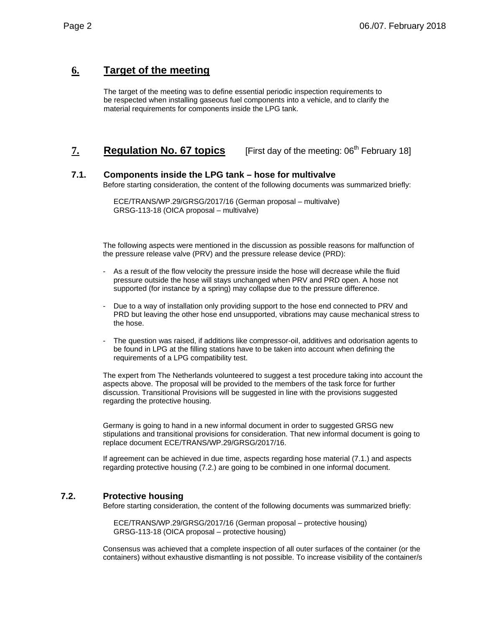# **6. Target of the meeting**

The target of the meeting was to define essential periodic inspection requirements to be respected when installing gaseous fuel components into a vehicle, and to clarify the material requirements for components inside the LPG tank.

7. **Regulation No. 67 topics** [First day of the meeting: 06<sup>th</sup> February 18]

### **7.1. Components inside the LPG tank – hose for multivalve**

Before starting consideration, the content of the following documents was summarized briefly:

ECE/TRANS/WP.29/GRSG/2017/16 (German proposal – multivalve) GRSG-113-18 (OICA proposal – multivalve)

The following aspects were mentioned in the discussion as possible reasons for malfunction of the pressure release valve (PRV) and the pressure release device (PRD):

- As a result of the flow velocity the pressure inside the hose will decrease while the fluid pressure outside the hose will stays unchanged when PRV and PRD open. A hose not supported (for instance by a spring) may collapse due to the pressure difference.
- Due to a way of installation only providing support to the hose end connected to PRV and PRD but leaving the other hose end unsupported, vibrations may cause mechanical stress to the hose.
- The question was raised, if additions like compressor-oil, additives and odorisation agents to be found in LPG at the filling stations have to be taken into account when defining the requirements of a LPG compatibility test.

The expert from The Netherlands volunteered to suggest a test procedure taking into account the aspects above. The proposal will be provided to the members of the task force for further discussion. Transitional Provisions will be suggested in line with the provisions suggested regarding the protective housing.

Germany is going to hand in a new informal document in order to suggested GRSG new stipulations and transitional provisions for consideration. That new informal document is going to replace document ECE/TRANS/WP.29/GRSG/2017/16.

If agreement can be achieved in due time, aspects regarding hose material (7.1.) and aspects regarding protective housing (7.2.) are going to be combined in one informal document.

## **7.2. Protective housing**

Before starting consideration, the content of the following documents was summarized briefly:

ECE/TRANS/WP.29/GRSG/2017/16 (German proposal – protective housing) GRSG-113-18 (OICA proposal – protective housing)

Consensus was achieved that a complete inspection of all outer surfaces of the container (or the containers) without exhaustive dismantling is not possible. To increase visibility of the container/s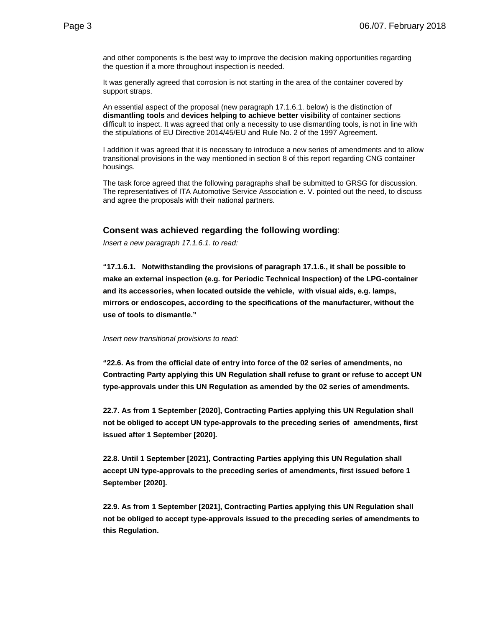and other components is the best way to improve the decision making opportunities regarding the question if a more throughout inspection is needed.

It was generally agreed that corrosion is not starting in the area of the container covered by support straps.

An essential aspect of the proposal (new paragraph 17.1.6.1. below) is the distinction of **dismantling tools** and **devices helping to achieve better visibility** of container sections difficult to inspect. It was agreed that only a necessity to use dismantling tools, is not in line with the stipulations of EU Directive 2014/45/EU and Rule No. 2 of the 1997 Agreement.

I addition it was agreed that it is necessary to introduce a new series of amendments and to allow transitional provisions in the way mentioned in section 8 of this report regarding CNG container housings.

The task force agreed that the following paragraphs shall be submitted to GRSG for discussion. The representatives of ITA Automotive Service Association e. V. pointed out the need, to discuss and agree the proposals with their national partners.

#### **Consent was achieved regarding the following wording**:

*Insert a new paragraph 17.1.6.1. to read:* 

**"17.1.6.1. Notwithstanding the provisions of paragraph 17.1.6., it shall be possible to make an external inspection (e.g. for Periodic Technical Inspection) of the LPG-container and its accessories, when located outside the vehicle, with visual aids, e.g. lamps, mirrors or endoscopes, according to the specifications of the manufacturer, without the use of tools to dismantle."** 

#### *Insert new transitional provisions to read:*

**"22.6. As from the official date of entry into force of the 02 series of amendments, no Contracting Party applying this UN Regulation shall refuse to grant or refuse to accept UN type-approvals under this UN Regulation as amended by the 02 series of amendments.** 

**22.7. As from 1 September [2020], Contracting Parties applying this UN Regulation shall not be obliged to accept UN type-approvals to the preceding series of amendments, first issued after 1 September [2020].** 

**22.8. Until 1 September [2021], Contracting Parties applying this UN Regulation shall accept UN type-approvals to the preceding series of amendments, first issued before 1 September [2020].** 

**22.9. As from 1 September [2021], Contracting Parties applying this UN Regulation shall not be obliged to accept type-approvals issued to the preceding series of amendments to this Regulation.**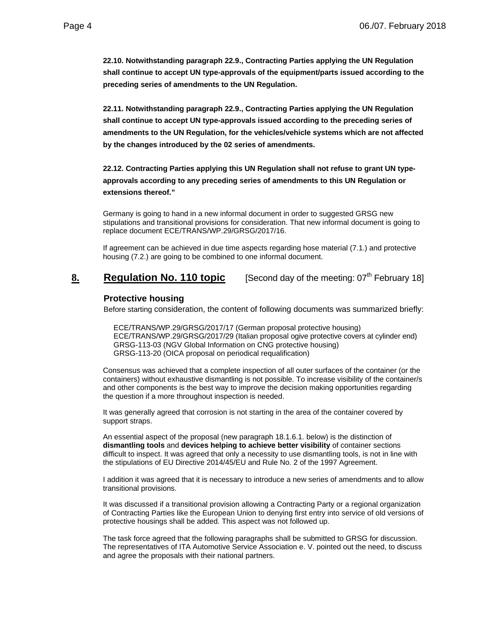**22.10. Notwithstanding paragraph 22.9., Contracting Parties applying the UN Regulation shall continue to accept UN type-approvals of the equipment/parts issued according to the preceding series of amendments to the UN Regulation.** 

**22.11. Notwithstanding paragraph 22.9., Contracting Parties applying the UN Regulation shall continue to accept UN type-approvals issued according to the preceding series of amendments to the UN Regulation, for the vehicles/vehicle systems which are not affected by the changes introduced by the 02 series of amendments.** 

**22.12. Contracting Parties applying this UN Regulation shall not refuse to grant UN typeapprovals according to any preceding series of amendments to this UN Regulation or extensions thereof."** 

Germany is going to hand in a new informal document in order to suggested GRSG new stipulations and transitional provisions for consideration. That new informal document is going to replace document ECE/TRANS/WP.29/GRSG/2017/16.

If agreement can be achieved in due time aspects regarding hose material (7.1.) and protective housing (7.2.) are going to be combined to one informal document.

**8. Regulation No. 110 topic** [Second day of the meeting: 07<sup>th</sup> February 18]

### **Protective housing**

Before starting consideration, the content of following documents was summarized briefly:

ECE/TRANS/WP.29/GRSG/2017/17 (German proposal protective housing) ECE/TRANS/WP.29/GRSG/2017/29 (Italian proposal ogive protective covers at cylinder end) GRSG-113-03 (NGV Global Information on CNG protective housing) GRSG-113-20 (OICA proposal on periodical requalification)

Consensus was achieved that a complete inspection of all outer surfaces of the container (or the containers) without exhaustive dismantling is not possible. To increase visibility of the container/s and other components is the best way to improve the decision making opportunities regarding the question if a more throughout inspection is needed.

It was generally agreed that corrosion is not starting in the area of the container covered by support straps.

An essential aspect of the proposal (new paragraph 18.1.6.1. below) is the distinction of **dismantling tools** and **devices helping to achieve better visibility** of container sections difficult to inspect. It was agreed that only a necessity to use dismantling tools, is not in line with the stipulations of EU Directive 2014/45/EU and Rule No. 2 of the 1997 Agreement.

I addition it was agreed that it is necessary to introduce a new series of amendments and to allow transitional provisions.

It was discussed if a transitional provision allowing a Contracting Party or a regional organization of Contracting Parties like the European Union to denying first entry into service of old versions of protective housings shall be added. This aspect was not followed up.

The task force agreed that the following paragraphs shall be submitted to GRSG for discussion. The representatives of ITA Automotive Service Association e. V. pointed out the need, to discuss and agree the proposals with their national partners.